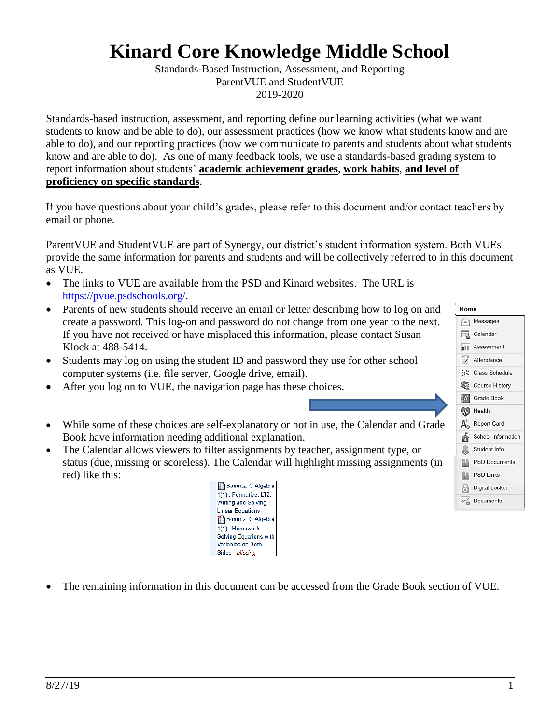## **Kinard Core Knowledge Middle School**

Standards-Based Instruction, Assessment, and Reporting ParentVUE and StudentVUE 2019-2020

Standards-based instruction, assessment, and reporting define our learning activities (what we want students to know and be able to do), our assessment practices (how we know what students know and are able to do), and our reporting practices (how we communicate to parents and students about what students know and are able to do). As one of many feedback tools, we use a standards-based grading system to report information about students' **academic achievement grades**, **work habits**, **and level of proficiency on specific standards**.

If you have questions about your child's grades, please refer to this document and/or contact teachers by email or phone.

ParentVUE and StudentVUE are part of Synergy, our district's student information system. Both VUEs provide the same information for parents and students and will be collectively referred to in this document as VUE.

- The links to VUE are available from the PSD and Kinard websites. The URL is [https://pvue.psdschools.org/.](https://pvue.psdschools.org/)
- Parents of new students should receive an email or letter describing how to log on and create a password. This log-on and password do not change from one year to the next. If you have not received or have misplaced this information, please contact Susan Klock at 488-5414.
- Students may log on using the student ID and password they use for other school computer systems (i.e. file server, Google drive, email).
- After you log on to VUE, the navigation page has these choices.
- While some of these choices are self-explanatory or not in use, the Calendar and Grade Book have information needing additional explanation.
- The Calendar allows viewers to filter assignments by teacher, assignment type, or status (due, missing or scoreless). The Calendar will highlight missing assignments (in red) like this:



• The remaining information in this document can be accessed from the Grade Book section of VUE.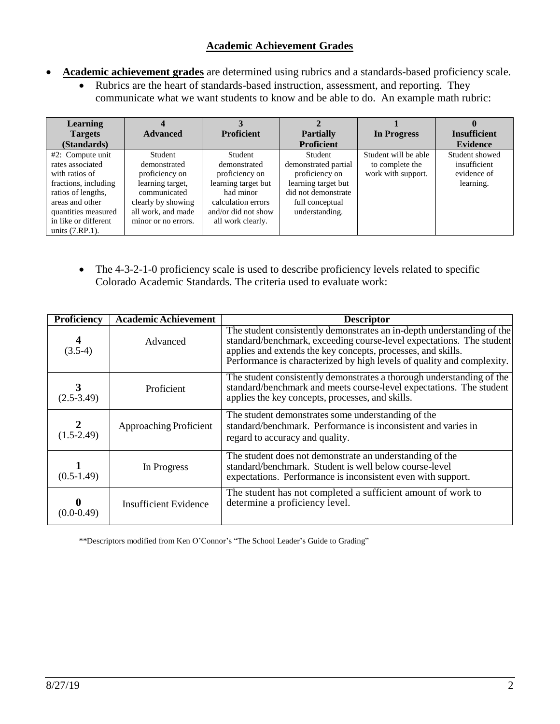## **Academic Achievement Grades**

- **Academic achievement grades** are determined using rubrics and a standards-based proficiency scale.
	- Rubrics are the heart of standards-based instruction, assessment, and reporting. They communicate what we want students to know and be able to do. An example math rubric:

| <b>Learning</b>           |                     |                     |                      |                      |                     |
|---------------------------|---------------------|---------------------|----------------------|----------------------|---------------------|
| <b>Targets</b>            | <b>Advanced</b>     | <b>Proficient</b>   | <b>Partially</b>     | In Progress          | <b>Insufficient</b> |
|                           |                     |                     |                      |                      |                     |
| (Standards)               |                     |                     | <b>Proficient</b>    |                      | <b>Evidence</b>     |
| $#2$ : Compute unit       | Student             | Student             | Student              | Student will be able | Student showed      |
| rates associated          | demonstrated        | demonstrated        | demonstrated partial | to complete the      | insufficient        |
| with ratios of            | proficiency on      | proficiency on      | proficiency on       | work with support.   | evidence of         |
| fractions, including      | learning target,    | learning target but | learning target but  |                      | learning.           |
| ratios of lengths,        | communicated        | had minor           | did not demonstrate  |                      |                     |
| areas and other           | clearly by showing  | calculation errors  | full conceptual      |                      |                     |
| quantities measured       | all work, and made  | and/or did not show | understanding.       |                      |                     |
| in like or different      | minor or no errors. | all work clearly.   |                      |                      |                     |
| units $(7 \text{R}P.1)$ . |                     |                     |                      |                      |                     |

• The 4-3-2-1-0 proficiency scale is used to describe proficiency levels related to specific Colorado Academic Standards. The criteria used to evaluate work:

| Proficiency                   | <b>Academic Achievement</b> | <b>Descriptor</b>                                                                                                                                                                                                                                                                        |
|-------------------------------|-----------------------------|------------------------------------------------------------------------------------------------------------------------------------------------------------------------------------------------------------------------------------------------------------------------------------------|
| $\boldsymbol{4}$<br>$(3.5-4)$ | Advanced                    | The student consistently demonstrates an in-depth understanding of the<br>standard/benchmark, exceeding course-level expectations. The student<br>applies and extends the key concepts, processes, and skills.<br>Performance is characterized by high levels of quality and complexity. |
| $(2.5 - 3.49)$                | Proficient                  | The student consistently demonstrates a thorough understanding of the<br>standard/benchmark and meets course-level expectations. The student<br>applies the key concepts, processes, and skills.                                                                                         |
| $(1.5 - 2.49)$                | Approaching Proficient      | The student demonstrates some understanding of the<br>standard/benchmark. Performance is inconsistent and varies in<br>regard to accuracy and quality.                                                                                                                                   |
| $(0.5-1.49)$                  | In Progress                 | The student does not demonstrate an understanding of the<br>standard/benchmark. Student is well below course-level<br>expectations. Performance is inconsistent even with support.                                                                                                       |
| (0.0-0.49)                    | Insufficient Evidence       | The student has not completed a sufficient amount of work to<br>determine a proficiency level.                                                                                                                                                                                           |

\*\*Descriptors modified from Ken O'Connor's "The School Leader's Guide to Grading"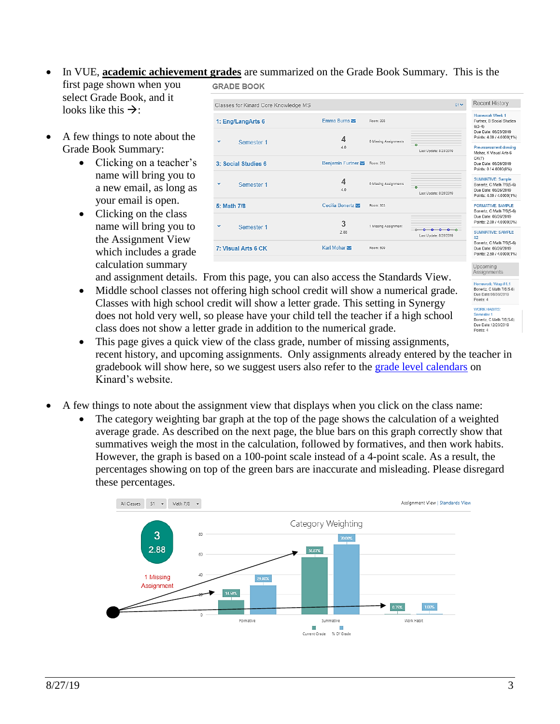• In VUE, **academic achievement grades** are summarized on the Grade Book Summary. This is the

first page shown when you select Grade Book, and it looks like this  $\rightarrow$ :

- A few things to note about the Grade Book Summary:
	- Clicking on a teacher's name will bring you to a new email, as long as your email is open.
	- Clicking on the class name will bring you to the Assignment View which includes a grade calculation summary



and assignment details. From this page, you can also access the Standards View.

- Middle school classes not offering high school credit will show a numerical grade. Classes with high school credit will show a letter grade. This setting in Synergy does not hold very well, so please have your child tell the teacher if a high school class does not show a letter grade in addition to the numerical grade.
- This page gives a quick view of the class grade, number of missing assignments, recent history, and upcoming assignments. Only assignments already entered by the teacher in gradebook will show here, so we suggest users also refer to the [grade level calendars](https://kin.psdschools.org/activitycalendar) on Kinard's website.
- A few things to note about the assignment view that displays when you click on the class name:
	- The category weighting bar graph at the top of the page shows the calculation of a weighted average grade. As described on the next page, the blue bars on this graph correctly show that summatives weigh the most in the calculation, followed by formatives, and then work habits. However, the graph is based on a 100-point scale instead of a 4-point scale. As a result, the percentages showing on top of the green bars are inaccurate and misleading. Please disregard these percentages.



Homework: Wrap #1.1 Bonertz. C Math 7/8(5-6) Due Date:08/30/2019<br>Points: 4 **WORK HABITS:** Semester 1<br>Bonertz, C Math 7/8(5-6) Due Date: 12/20/2019 Points: 4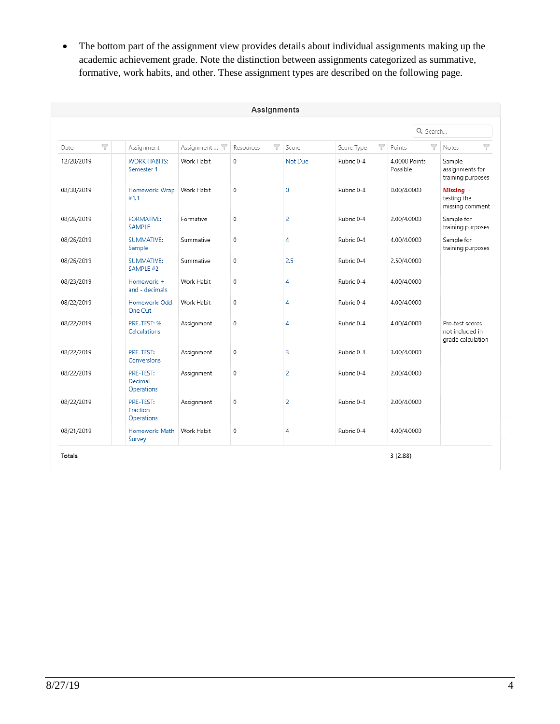• The bottom part of the assignment view provides details about individual assignments making up the academic achievement grade. Note the distinction between assignments categorized as summative, formative, work habits, and other. These assignment types are described on the following page.

| Assignments |                                     |            |                |                |                 |                           |                                                         |
|-------------|-------------------------------------|------------|----------------|----------------|-----------------|---------------------------|---------------------------------------------------------|
|             |                                     |            |                |                |                 | Q Search                  |                                                         |
| Y<br>Date   | Assignment                          | Assignment | Y<br>Resources | Score          | V<br>Score Type | Y<br>Points               | Y<br>Notes                                              |
| 12/20/2019  | <b>WORK HABITS:</b><br>Semester 1   | Work Habit | 0              | Not Due        | Rubric 0-4      | 4,0000 Points<br>Possible | Sample<br>assignments for<br>training purposes          |
| 08/30/2019  | Homework: Wrap<br>#1.1              | Work Habit | 0              | 0              | Rubric 0-4      | 0.00/4.0000               | Missing -<br>testing the<br>missing comment             |
| 08/26/2019  | <b>FORMATIVE:</b><br><b>SAMPLE</b>  | Formative  | 0              | 2              | Rubric 0-4      | 2.00/4.0000               | Sample for<br>training purposes                         |
| 08/26/2019  | <b>SUMMATIVE:</b><br>Sample         | Summative  | 0              | 4              | Rubric 0-4      | 4.00/4.0000               | Sample for<br>training purposes                         |
| 08/26/2019  | <b>SUMMATIVE:</b><br>SAMPLE #2      | Summative  | 0              | 2.5            | Rubric 0-4      | 2.50/4.0000               |                                                         |
| 08/23/2019  | Homework: +<br>and - decimals       | Work Habit | 0              | 4              | Rubric 0-4      | 4.00/4.0000               |                                                         |
| 08/22/2019  | Homework: Odd<br>One Out            | Work Habit | 0              | 4              | Rubric 0-4      | 4.00/4.0000               |                                                         |
| 08/22/2019  | PRE-TEST: %<br>Calculations         | Assignment | 0              | 4              | Rubric 0-4      | 4.00/4.0000               | Pre-test scores<br>not included in<br>grade calculation |
| 08/22/2019  | PRE-TEST:<br>Conversions            | Assignment | 0              | 3              | Rubric 0-4      | 3.00/4.0000               |                                                         |
| 08/22/2019  | PRE-TEST:<br>Decimal<br>Operations  | Assignment | 0              | 2              | Rubric 0-4      | 2.00/4.0000               |                                                         |
| 08/22/2019  | PRE-TEST:<br>Fraction<br>Operations | Assignment | 0              | $\overline{2}$ | Rubric 0-4      | 2.00/4.0000               |                                                         |
| 08/21/2019  | Homework: Math<br>Survey            | Work Habit | 0              | 4              | Rubric 0-4      | 4.00/4.0000               |                                                         |

Totals

 $3(2.88)$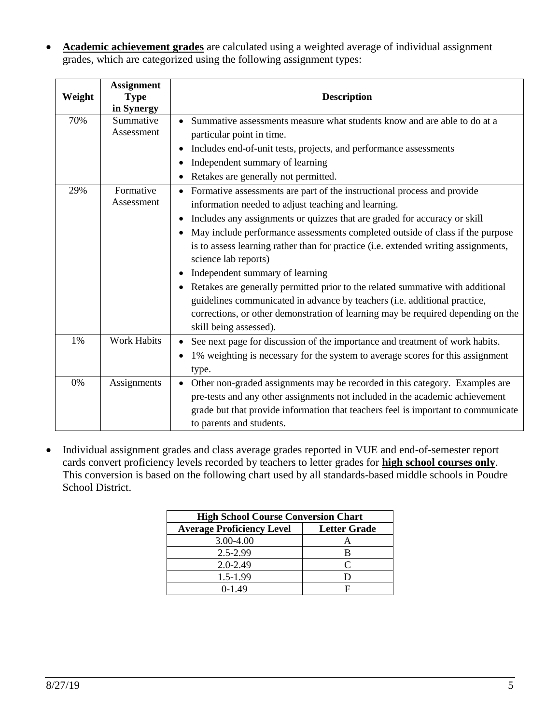• **Academic achievement grades** are calculated using a weighted average of individual assignment grades, which are categorized using the following assignment types:

| Weight | <b>Assignment</b><br><b>Type</b><br>in Synergy | <b>Description</b>                                                                                                                                                                                                                                                                                                                                                                                                                                                                                                                                                                                                                                                                                                                      |
|--------|------------------------------------------------|-----------------------------------------------------------------------------------------------------------------------------------------------------------------------------------------------------------------------------------------------------------------------------------------------------------------------------------------------------------------------------------------------------------------------------------------------------------------------------------------------------------------------------------------------------------------------------------------------------------------------------------------------------------------------------------------------------------------------------------------|
| 70%    | Summative<br>Assessment                        | Summative assessments measure what students know and are able to do at a<br>particular point in time.<br>Includes end-of-unit tests, projects, and performance assessments<br>Independent summary of learning<br>Retakes are generally not permitted.                                                                                                                                                                                                                                                                                                                                                                                                                                                                                   |
| 29%    | Formative<br>Assessment                        | Formative assessments are part of the instructional process and provide<br>information needed to adjust teaching and learning.<br>Includes any assignments or quizzes that are graded for accuracy or skill<br>May include performance assessments completed outside of class if the purpose<br>$\bullet$<br>is to assess learning rather than for practice (i.e. extended writing assignments,<br>science lab reports)<br>Independent summary of learning<br>Retakes are generally permitted prior to the related summative with additional<br>guidelines communicated in advance by teachers (i.e. additional practice,<br>corrections, or other demonstration of learning may be required depending on the<br>skill being assessed). |
| 1%     | <b>Work Habits</b>                             | See next page for discussion of the importance and treatment of work habits.<br>1% weighting is necessary for the system to average scores for this assignment<br>type.                                                                                                                                                                                                                                                                                                                                                                                                                                                                                                                                                                 |
| 0%     | Assignments                                    | Other non-graded assignments may be recorded in this category. Examples are<br>$\bullet$<br>pre-tests and any other assignments not included in the academic achievement<br>grade but that provide information that teachers feel is important to communicate<br>to parents and students.                                                                                                                                                                                                                                                                                                                                                                                                                                               |

• Individual assignment grades and class average grades reported in VUE and end-of-semester report cards convert proficiency levels recorded by teachers to letter grades for **high school courses only**. This conversion is based on the following chart used by all standards-based middle schools in Poudre School District.

| <b>High School Course Conversion Chart</b> |                     |  |  |
|--------------------------------------------|---------------------|--|--|
| <b>Average Proficiency Level</b>           | <b>Letter Grade</b> |  |  |
| 3.00-4.00                                  |                     |  |  |
| 2.5-2.99                                   |                     |  |  |
| $2.0 - 2.49$                               | $\mathsf{\Gamma}$   |  |  |
| 1.5-1.99                                   |                     |  |  |
| $0-1.49$                                   | F                   |  |  |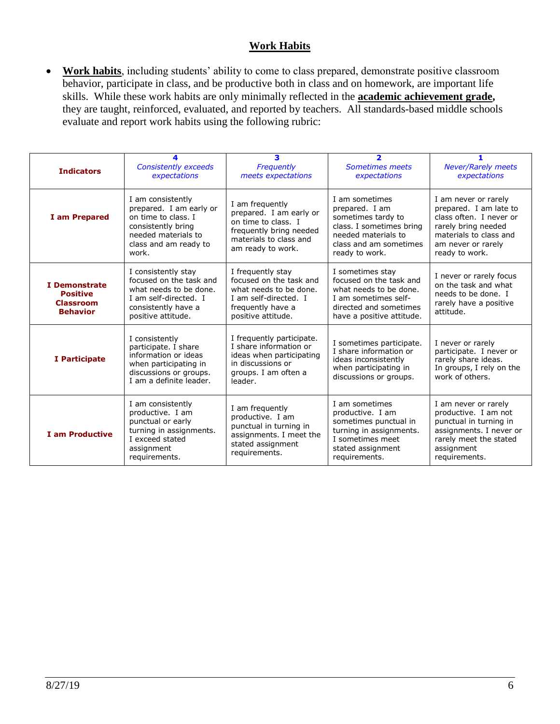## **Work Habits**

• **Work habits**, including students' ability to come to class prepared, demonstrate positive classroom behavior, participate in class, and be productive both in class and on homework, are important life skills. While these work habits are only minimally reflected in the **academic achievement grade,**  they are taught, reinforced, evaluated, and reported by teachers. All standards-based middle schools evaluate and report work habits using the following rubric:

| <b>Indicators</b>                                                       | <b>Consistently exceeds</b><br>expectations                                                                                                        | 3<br>Frequently<br>meets expectations                                                                                                       | 2<br>Sometimes meets<br>expectations                                                                                                                  | <b>Never/Rarely meets</b><br>expectations                                                                                                                          |
|-------------------------------------------------------------------------|----------------------------------------------------------------------------------------------------------------------------------------------------|---------------------------------------------------------------------------------------------------------------------------------------------|-------------------------------------------------------------------------------------------------------------------------------------------------------|--------------------------------------------------------------------------------------------------------------------------------------------------------------------|
| I am Prepared                                                           | I am consistently<br>prepared. I am early or<br>on time to class. I<br>consistently bring<br>needed materials to<br>class and am ready to<br>work. | I am frequently<br>prepared. I am early or<br>on time to class. I<br>frequently bring needed<br>materials to class and<br>am ready to work. | I am sometimes<br>prepared. I am<br>sometimes tardy to<br>class. I sometimes bring<br>needed materials to<br>class and am sometimes<br>ready to work. | I am never or rarely<br>prepared. I am late to<br>class often. I never or<br>rarely bring needed<br>materials to class and<br>am never or rarely<br>ready to work. |
| I Demonstrate<br><b>Positive</b><br><b>Classroom</b><br><b>Behavior</b> | I consistently stay<br>focused on the task and<br>what needs to be done.<br>I am self-directed. I<br>consistently have a<br>positive attitude.     | I frequently stay<br>focused on the task and<br>what needs to be done.<br>I am self-directed. I<br>frequently have a<br>positive attitude.  | I sometimes stay<br>focused on the task and<br>what needs to be done.<br>I am sometimes self-<br>directed and sometimes<br>have a positive attitude.  | I never or rarely focus<br>on the task and what<br>needs to be done. I<br>rarely have a positive<br>attitude.                                                      |
| I Participate                                                           | I consistently<br>participate. I share<br>information or ideas<br>when participating in<br>discussions or groups.<br>I am a definite leader.       | I frequently participate.<br>I share information or<br>ideas when participating<br>in discussions or<br>groups. I am often a<br>leader.     | I sometimes participate.<br>I share information or<br>ideas inconsistently<br>when participating in<br>discussions or groups.                         | I never or rarely<br>participate. I never or<br>rarely share ideas.<br>In groups, I rely on the<br>work of others.                                                 |
| <b>I am Productive</b>                                                  | I am consistently<br>productive. I am<br>punctual or early<br>turning in assignments.<br>I exceed stated<br>assignment<br>requirements.            | I am frequently<br>productive. I am<br>punctual in turning in<br>assignments. I meet the<br>stated assignment<br>requirements.              | I am sometimes<br>productive. I am<br>sometimes punctual in<br>turning in assignments.<br>I sometimes meet<br>stated assignment<br>requirements.      | I am never or rarely<br>productive. I am not<br>punctual in turning in<br>assignments. I never or<br>rarely meet the stated<br>assignment<br>requirements.         |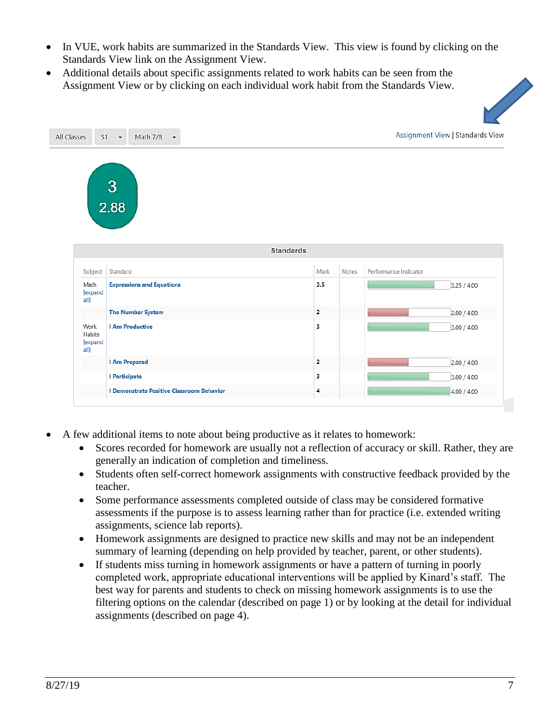- In VUE, work habits are summarized in the Standards View. This view is found by clicking on the Standards View link on the Assignment View.
- Additional details about specific assignments related to work habits can be seen from the Assignment View or by clicking on each individual work habit from the Standards View.



- A few additional items to note about being productive as it relates to homework:
	- Scores recorded for homework are usually not a reflection of accuracy or skill. Rather, they are generally an indication of completion and timeliness.
	- Students often self-correct homework assignments with constructive feedback provided by the teacher.
	- Some performance assessments completed outside of class may be considered formative assessments if the purpose is to assess learning rather than for practice (i.e. extended writing assignments, science lab reports).
	- Homework assignments are designed to practice new skills and may not be an independent summary of learning (depending on help provided by teacher, parent, or other students).
	- If students miss turning in homework assignments or have a pattern of turning in poorly completed work, appropriate educational interventions will be applied by Kinard's staff. The best way for parents and students to check on missing homework assignments is to use the filtering options on the calendar (described on page 1) or by looking at the detail for individual assignments (described on page 4).